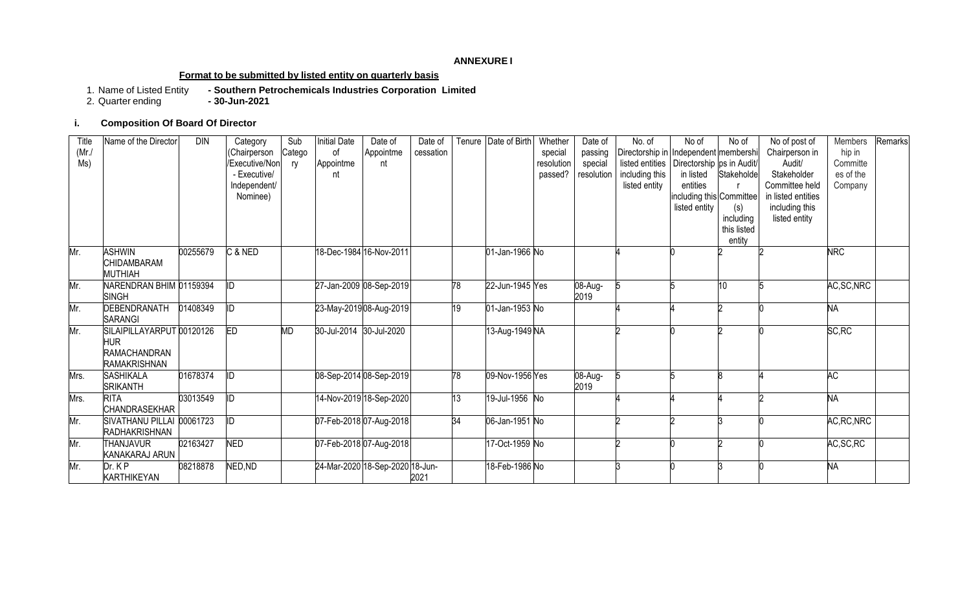#### **ANNEXURE I**

## **Format to be submitted by listed entity on quarterly basis**

1. Name of Listed Entity **- Southern Petrochemicals Industries Corporation Limited**

2. Quarter ending **- 30-Jun-2021**

## **i. Composition Of Board Of Director**

| Title<br>$(Mr$ ./<br>MS) | Name of the Director                                                                  | <b>DIN</b> | Category<br>(Chairperson<br>/Executive/Non<br>- Executive/<br>Independent/<br>Nominee) | Sub<br>Catego<br>ry | <b>Initial Date</b><br>0f<br>Appointme<br>nt | Date of<br>Appointme<br>nt      | Date of<br>cessation |    | Tenure Date of Birth | Whether<br>special<br>resolution<br>passed? | Date of<br>passing<br>special<br>resolution | No. of<br>Directorship in Independent membershi<br>listed entities   Directorship   ps in Audit/ <br>including this<br>listed entity | No of<br>in listed<br>entities<br>including this Committee<br>listed entity | No of<br>Stakeholde<br>(s)<br>including<br>this listed<br>entity | No of post of<br>Chairperson in<br>Audit/<br>Stakeholder<br>Committee held<br>in listed entities<br>including this<br>listed entity | Members<br>hip in<br>Committe<br>es of the<br>Company | Remarks |
|--------------------------|---------------------------------------------------------------------------------------|------------|----------------------------------------------------------------------------------------|---------------------|----------------------------------------------|---------------------------------|----------------------|----|----------------------|---------------------------------------------|---------------------------------------------|--------------------------------------------------------------------------------------------------------------------------------------|-----------------------------------------------------------------------------|------------------------------------------------------------------|-------------------------------------------------------------------------------------------------------------------------------------|-------------------------------------------------------|---------|
| Mr.                      | <b>ASHWIN</b><br><b>CHIDAMBARAM</b><br><b>MUTHIAH</b>                                 | 00255679   | C & NED                                                                                |                     |                                              | 18-Dec-1984 16-Nov-2011         |                      |    | 01-Jan-1966 No       |                                             |                                             |                                                                                                                                      |                                                                             |                                                                  |                                                                                                                                     | <b>NRC</b>                                            |         |
| Mr.                      | NARENDRAN BHIM 01159394<br><b>SINGH</b>                                               |            | lid.                                                                                   |                     |                                              | 27-Jan-2009 08-Sep-2019         |                      | 78 | 22-Jun-1945 Yes      |                                             | 08-Aug-<br>2019                             |                                                                                                                                      |                                                                             | 10                                                               |                                                                                                                                     | AC, SC, NRC                                           |         |
| Mr.                      | DEBENDRANATH<br><b>SARANGI</b>                                                        | 01408349   | ID                                                                                     |                     | 23-May-201908-Aug-2019                       |                                 |                      | 19 | 01-Jan-1953 No       |                                             |                                             |                                                                                                                                      |                                                                             |                                                                  |                                                                                                                                     | <b>NA</b>                                             |         |
| Mr.                      | SILAIPILLAYARPUT 00120126<br><b>HUR</b><br><b>RAMACHANDRAN</b><br><b>RAMAKRISHNAN</b> |            | E                                                                                      | <b>MD</b>           | 30-Jul-2014 30-Jul-2020                      |                                 |                      |    | 13-Aug-1949 NA       |                                             |                                             |                                                                                                                                      |                                                                             |                                                                  |                                                                                                                                     | SC, RC                                                |         |
| Mrs.                     | <b>SASHIKALA</b><br><b>SRIKANTH</b>                                                   | 01678374   | ID                                                                                     |                     |                                              | 08-Sep-2014 08-Sep-2019         |                      | 78 | 09-Nov-1956 Yes      |                                             | 08-Aug-<br>2019                             |                                                                                                                                      |                                                                             |                                                                  |                                                                                                                                     | <b>AC</b>                                             |         |
| Mrs.                     | <b>RITA</b><br><b>CHANDRASEKHAR</b>                                                   | 03013549   | lid.                                                                                   |                     |                                              | 14-Nov-2019 18-Sep-2020         |                      | 13 | 19-Jul-1956 No       |                                             |                                             |                                                                                                                                      |                                                                             |                                                                  |                                                                                                                                     | <b>NA</b>                                             |         |
| Mr.                      | SIVATHANU PILLAI 00061723<br><b>RADHAKRISHNAN</b>                                     |            | $\overline{\mathbb{D}}$                                                                |                     |                                              | 07-Feb-2018 07-Aug-2018         |                      | 34 | 06-Jan-1951 No       |                                             |                                             |                                                                                                                                      |                                                                             |                                                                  |                                                                                                                                     | AC, RC, NRC                                           |         |
| Mr.                      | THANJAVUR<br>KANAKARAJ ARUN                                                           | 02163427   | <b>NED</b>                                                                             |                     |                                              | 07-Feb-2018 07-Aug-2018         |                      |    | 17-Oct-1959 No       |                                             |                                             |                                                                                                                                      |                                                                             |                                                                  |                                                                                                                                     | AC, SC, RC                                            |         |
| Mr.                      | Dr. K P<br><b>KARTHIKEYAN</b>                                                         | 08218878   | NED, ND                                                                                |                     |                                              | 24-Mar-2020 18-Sep-2020 18-Jun- | 2021                 |    | 18-Feb-1986 No       |                                             |                                             |                                                                                                                                      |                                                                             |                                                                  |                                                                                                                                     | <b>NA</b>                                             |         |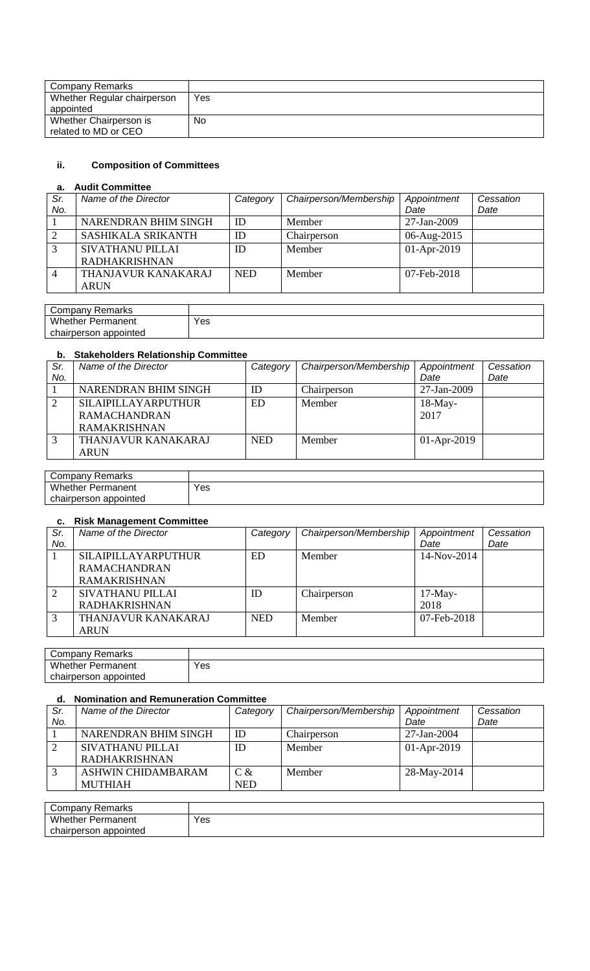| Company Remarks             |     |
|-----------------------------|-----|
| Whether Regular chairperson | Yes |
| appointed                   |     |
| Whether Chairperson is      | No  |
| related to MD or CEO        |     |

## **ii. Composition of Committees**

## **a. Audit Committee**

| Sr.               | Name of the Director       | Category   | Chairperson/Membership | Appointment | Cessation |
|-------------------|----------------------------|------------|------------------------|-------------|-----------|
| No.               |                            |            |                        | Date        | Date      |
|                   | NARENDRAN BHIM SINGH       | ID         | Member                 | 27-Jan-2009 |           |
|                   | <b>SASHIKALA SRIKANTH</b>  | ID         | Chairperson            | 06-Aug-2015 |           |
| $\mathbf{\Omega}$ | <b>SIVATHANU PILLAI</b>    | ID         | Member                 | 01-Apr-2019 |           |
|                   | <b>RADHAKRISHNAN</b>       |            |                        |             |           |
|                   | <b>THANJAVUR KANAKARAJ</b> | <b>NED</b> | Member                 | 07-Feb-2018 |           |
|                   | <b>ARUN</b>                |            |                        |             |           |

| Remarks<br>Company         |     |
|----------------------------|-----|
| Whether<br>Permanent       | Yes |
| chairperson<br>i appointed |     |

# **b. Stakeholders Relationship Committee**

| Sr. | Name of the Director       | Category   | Chairperson/Membership | Appointment   | Cessation |
|-----|----------------------------|------------|------------------------|---------------|-----------|
| No. |                            |            |                        | Date          | Date      |
|     | NARENDRAN BHIM SINGH       | ID         | Chairperson            | 27-Jan-2009   |           |
|     | <b>SILAIPILLAYARPUTHUR</b> | ED.        | Member                 | $18-May-$     |           |
|     | <b>RAMACHANDRAN</b>        |            |                        | 2017          |           |
|     | <b>RAMAKRISHNAN</b>        |            |                        |               |           |
| 3   | THANJAVUR KANAKARAJ        | <b>NED</b> | Member                 | $01-Apr-2019$ |           |
|     | <b>ARUN</b>                |            |                        |               |           |

| Company Remarks          |     |
|--------------------------|-----|
| <b>Whether Permanent</b> | Yes |
| chairperson appointed    |     |

### **c. Risk Management Committee**

| Sr.<br>No. | Name of the Director       | Category   | Chairperson/Membership | Appointment<br>Date | Cessation<br>Date |
|------------|----------------------------|------------|------------------------|---------------------|-------------------|
|            | <b>SILAIPILLAYARPUTHUR</b> | ED.        | Member                 | 14-Nov-2014         |                   |
|            | <b>RAMACHANDRAN</b>        |            |                        |                     |                   |
|            | <b>RAMAKRISHNAN</b>        |            |                        |                     |                   |
| 2          | SIVATHANU PILLAI           | ID         | Chairperson            | $17-May-$           |                   |
|            | <b>RADHAKRISHNAN</b>       |            |                        | 2018                |                   |
| 3          | THANJAVUR KANAKARAJ        | <b>NED</b> | Member                 | 07-Feb-2018         |                   |
|            | <b>ARUN</b>                |            |                        |                     |                   |

| Company Remarks          |     |
|--------------------------|-----|
| <b>Whether Permanent</b> | Yes |
| chairperson appointed    |     |

## **d. Nomination and Remuneration Committee**

| Sr. | Name of the Director    | Category   | Chairperson/Membership | Appointment   | Cessation |
|-----|-------------------------|------------|------------------------|---------------|-----------|
| No. |                         |            |                        | Date          | Date      |
|     | NARENDRAN BHIM SINGH    | ID         | Chairperson            | 27-Jan-2004   |           |
|     | <b>SIVATHANU PILLAI</b> | ID         | Member                 | $01-Apr-2019$ |           |
|     | <b>RADHAKRISHNAN</b>    |            |                        |               |           |
|     | ASHWIN CHIDAMBARAM      | $C \&$     | Member                 | 28-May-2014   |           |
|     | <b>MUTHIAH</b>          | <b>NED</b> |                        |               |           |

| Company Remarks          |     |
|--------------------------|-----|
| <b>Whether Permanent</b> | Yes |
| chairperson appointed    |     |